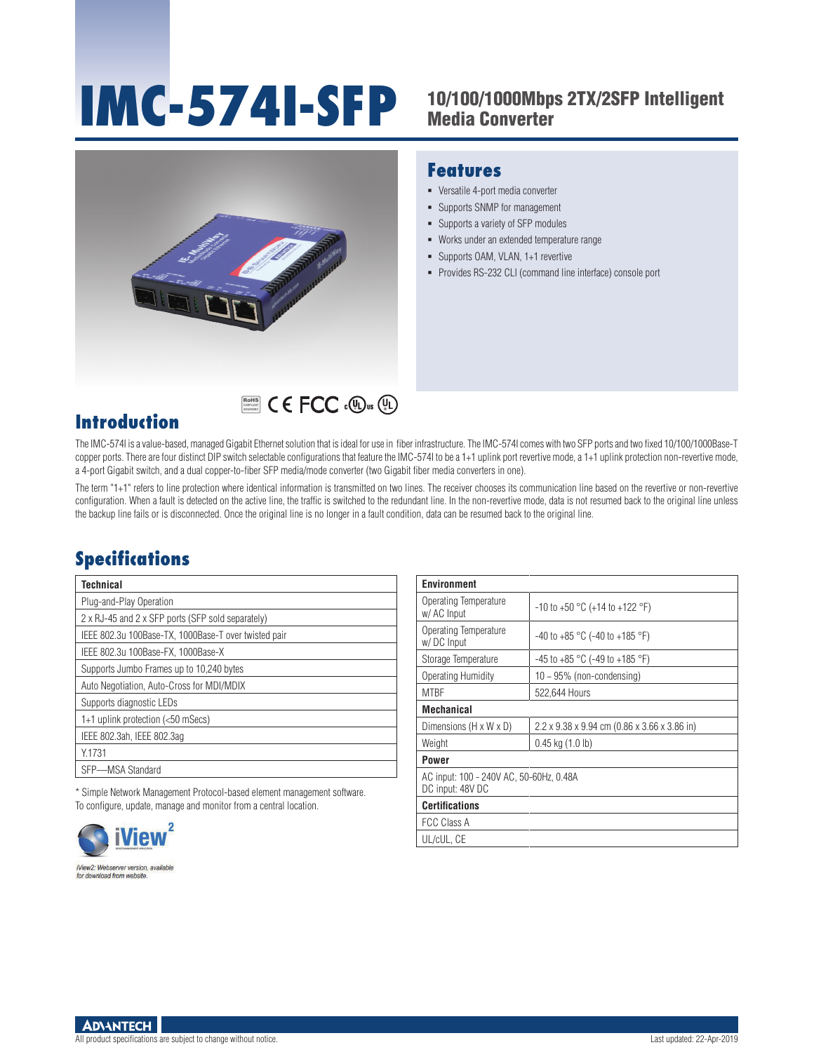# 10/100/1000Mbps 2TX/2SFP Intelligent **IMC-574I-SFP** Media Converter



#### **Features**

- Versatile 4-port media converter
- Supports SNMP for management
- Supports a variety of SFP modules
- Works under an extended temperature range
- Supports OAM, VLAN, 1+1 revertive
- Provides RS-232 CLI (command line interface) console port

#### **Introduction**

The IMC-574I is a value-based, managed Gigabit Ethernet solution that is ideal for use in fiber infrastructure. The IMC-574I comes with two SFP ports and two fixed 10/100/1000Base-T copper ports. There are four distinct DIP switch selectable configurations that feature the IMC-574I to be a 1+1 uplink port revertive mode, a 1+1 uplink protection non-revertive mode, a 4-port Gigabit switch, and a dual copper-to-fiber SFP media/mode converter (two Gigabit fiber media converters in one).

**COMPLIANT COMPLETE COMPUTE COMPLETE COMPLETE COMPLETE COMPLETE COMPLETE COMPLETE COMPLETE COMPLETE COMPLETE COMPLETE** 

The term "1+1" refers to line protection where identical information is transmitted on two lines. The receiver chooses its communication line based on the revertive or non-revertive configuration. When a fault is detected on the active line, the traffic is switched to the redundant line. In the non-revertive mode, data is not resumed back to the original line unless the backup line fails or is disconnected. Once the original line is no longer in a fault condition, data can be resumed back to the original line.

### **Specifications**

| Technical                                            |
|------------------------------------------------------|
| Plug-and-Play Operation                              |
| 2 x RJ-45 and 2 x SFP ports (SFP sold separately)    |
| IEEE 802.3u 100Base-TX, 1000Base-T over twisted pair |
| IEEE 802.3u 100Base-FX, 1000Base-X                   |
| Supports Jumbo Frames up to 10,240 bytes             |
| Auto Negotiation, Auto-Cross for MDI/MDIX            |
| Supports diagnostic LEDs                             |
| $1+1$ uplink protection ( $<$ 50 mSecs)              |
| IEEE 802.3ah, IEEE 802.3ag                           |
| Y.1731                                               |
| SFP-MSA Standard                                     |

\* Simple Network Management Protocol-based element management software. To configure, update, manage and monitor from a central location.



iView2: Webserver version, available for download from website

| <b>Environment</b>                                          |                                              |  |  |  |
|-------------------------------------------------------------|----------------------------------------------|--|--|--|
| Operating Temperature<br>w/ AC Input                        | $-10$ to $+50$ °C (+14 to $+122$ °F)         |  |  |  |
| Operating Temperature<br>w/DC Input                         | $-40$ to $+85$ °C ( $-40$ to $+185$ °F)      |  |  |  |
| Storage Temperature                                         | $-45$ to $+85$ °C ( $-49$ to $+185$ °F)      |  |  |  |
| Operating Humidity                                          | $10 \sim 95\%$ (non-condensing)              |  |  |  |
| <b>MTBF</b>                                                 | 522,644 Hours                                |  |  |  |
| <b>Mechanical</b>                                           |                                              |  |  |  |
| Dimensions (H x W x D)                                      | 2.2 x 9.38 x 9.94 cm (0.86 x 3.66 x 3.86 in) |  |  |  |
| Weight                                                      | $0.45$ kg $(1.0)$                            |  |  |  |
| Power                                                       |                                              |  |  |  |
| AC input: 100 - 240V AC, 50-60Hz, 0.48A<br>DC input: 48V DC |                                              |  |  |  |
| <b>Certifications</b>                                       |                                              |  |  |  |
| <b>FCC Class A</b>                                          |                                              |  |  |  |
| UL/cUL, CE                                                  |                                              |  |  |  |

**ADVANTECH** 

All product specifications are subject to change without notice. Contact the change without notice.